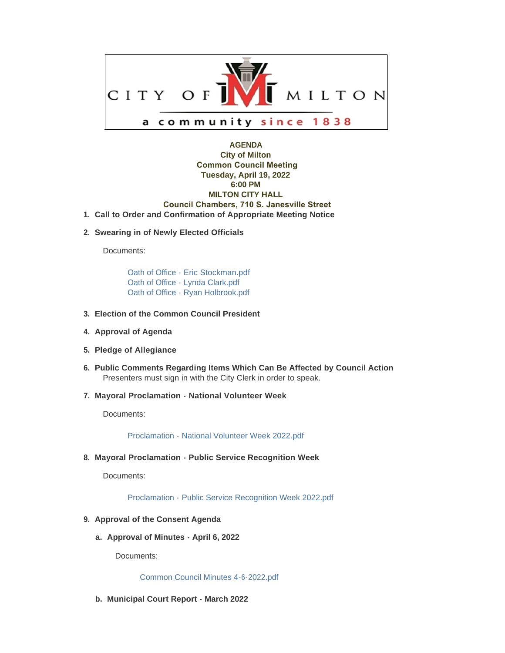

## **AGENDA City of Milton Common Council Meeting Tuesday, April 19, 2022 6:00 PM MILTON CITY HALL Council Chambers, 710 S. Janesville Street Call to Order and Confirmation of Appropriate Meeting Notice 1.**

**Swearing in of Newly Elected Officials 2.**

Documents:

[Oath of Office - Eric Stockman.pdf](https://www.milton-wi.gov/AgendaCenter/ViewFile/Item/9710?fileID=7531) [Oath of Office - Lynda Clark.pdf](https://www.milton-wi.gov/AgendaCenter/ViewFile/Item/9710?fileID=7532) [Oath of Office - Ryan Holbrook.pdf](https://www.milton-wi.gov/AgendaCenter/ViewFile/Item/9710?fileID=7533)

- **Election of the Common Council President 3.**
- **4. Approval of Agenda**
- **Pledge of Allegiance 5.**
- **Public Comments Regarding Items Which Can Be Affected by Council Action 6.** Presenters must sign in with the City Clerk in order to speak.
- **Mayoral Proclamation National Volunteer Week 7.**

Documents:

[Proclamation - National Volunteer Week 2022.pdf](https://www.milton-wi.gov/AgendaCenter/ViewFile/Item/9726?fileID=7561)

**Mayoral Proclamation - Public Service Recognition Week 8.**

Documents:

[Proclamation - Public Service Recognition Week 2022.pdf](https://www.milton-wi.gov/AgendaCenter/ViewFile/Item/9725?fileID=7560)

- **Approval of the Consent Agenda 9.**
	- **Approval of Minutes April 6, 2022 a.**

Documents:

[Common Council Minutes 4-6-2022.pdf](https://www.milton-wi.gov/AgendaCenter/ViewFile/Item/9709?fileID=7530)

**Municipal Court Report - March 2022 b.**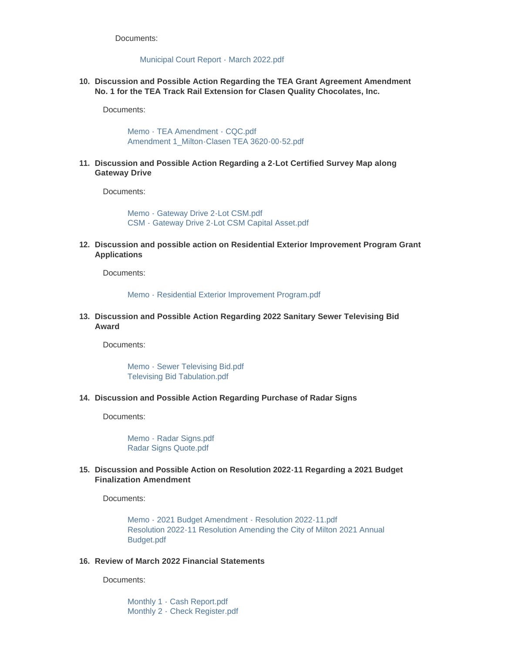Documents:

## [Municipal Court Report - March 2022.pdf](https://www.milton-wi.gov/AgendaCenter/ViewFile/Item/9719?fileID=7545)

**Discussion and Possible Action Regarding the TEA Grant Agreement Amendment 10. No. 1 for the TEA Track Rail Extension for Clasen Quality Chocolates, Inc.**

Documents:

[Memo - TEA Amendment - CQC.pdf](https://www.milton-wi.gov/AgendaCenter/ViewFile/Item/9718?fileID=7544) [Amendment 1\\_Milton-Clasen TEA 3620-00-52.pdf](https://www.milton-wi.gov/AgendaCenter/ViewFile/Item/9718?fileID=7543)

**Discussion and Possible Action Regarding a 2-Lot Certified Survey Map along 11. Gateway Drive**

Documents:

[Memo - Gateway Drive 2-Lot CSM.pdf](https://www.milton-wi.gov/AgendaCenter/ViewFile/Item/9714?fileID=7537) [CSM - Gateway Drive 2-Lot CSM Capital Asset.pdf](https://www.milton-wi.gov/AgendaCenter/ViewFile/Item/9714?fileID=7564)

**Discussion and possible action on Residential Exterior Improvement Program Grant 12. Applications**

Documents:

[Memo - Residential Exterior Improvement Program.pdf](https://www.milton-wi.gov/AgendaCenter/ViewFile/Item/9716?fileID=7540)

**Discussion and Possible Action Regarding 2022 Sanitary Sewer Televising Bid 13. Award**

Documents:

[Memo - Sewer Televising Bid.pdf](https://www.milton-wi.gov/AgendaCenter/ViewFile/Item/9717?fileID=7541) [Televising Bid Tabulation.pdf](https://www.milton-wi.gov/AgendaCenter/ViewFile/Item/9717?fileID=7542)

**Discussion and Possible Action Regarding Purchase of Radar Signs 14.**

Documents:

[Memo - Radar Signs.pdf](https://www.milton-wi.gov/AgendaCenter/ViewFile/Item/9715?fileID=7539) [Radar Signs Quote.pdf](https://www.milton-wi.gov/AgendaCenter/ViewFile/Item/9715?fileID=7538)

## **Discussion and Possible Action on Resolution 2022-11 Regarding a 2021 Budget 15. Finalization Amendment**

Documents:

[Memo - 2021 Budget Amendment - Resolution 2022-11.pdf](https://www.milton-wi.gov/AgendaCenter/ViewFile/Item/9713?fileID=7534) [Resolution 2022-11 Resolution Amending the City of Milton 2021 Annual](https://www.milton-wi.gov/AgendaCenter/ViewFile/Item/9713?fileID=7535)  Budget.pdf

## **Review of March 2022 Financial Statements 16.**

Documents:

[Monthly 1 - Cash Report.pdf](https://www.milton-wi.gov/AgendaCenter/ViewFile/Item/9720?fileID=7546) [Monthly 2 - Check Register.pdf](https://www.milton-wi.gov/AgendaCenter/ViewFile/Item/9720?fileID=7547)